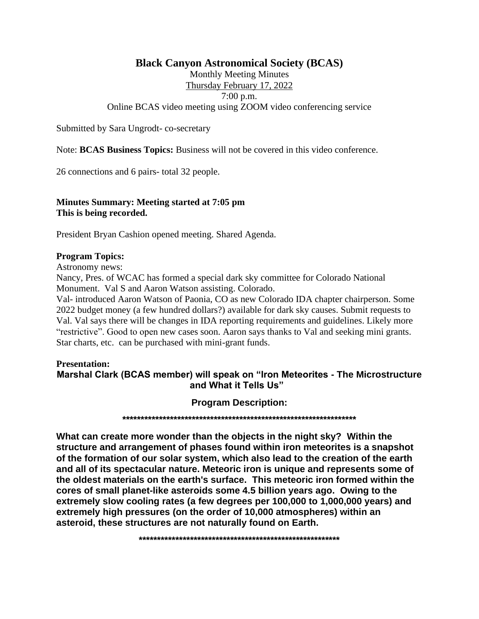## **Black Canyon Astronomical Society (BCAS)**

Monthly Meeting Minutes

Thursday February 17, 2022

7:00 p.m.

Online BCAS video meeting using ZOOM video conferencing service

Submitted by Sara Ungrodt- co-secretary

Note: **BCAS Business Topics:** Business will not be covered in this video conference.

26 connections and 6 pairs- total 32 people.

## **Minutes Summary: Meeting started at 7:05 pm This is being recorded.**

President Bryan Cashion opened meeting. Shared Agenda.

## **Program Topics:**

Astronomy news:

Nancy, Pres. of WCAC has formed a special dark sky committee for Colorado National Monument. Val S and Aaron Watson assisting. Colorado.

Val- introduced Aaron Watson of Paonia, CO as new Colorado IDA chapter chairperson. Some 2022 budget money (a few hundred dollars?) available for dark sky causes. Submit requests to Val. Val says there will be changes in IDA reporting requirements and guidelines. Likely more "restrictive". Good to open new cases soon. Aaron says thanks to Val and seeking mini grants. Star charts, etc. can be purchased with mini-grant funds.

## **Presentation: Marshal Clark (BCAS member) will speak on "Iron Meteorites - The Microstructure and What it Tells Us"**

**Program Description:**

**\*\*\*\*\*\*\*\*\*\*\*\*\*\*\*\*\*\*\*\*\*\*\*\*\*\*\*\*\*\*\*\*\*\*\*\*\*\*\*\*\*\*\*\*\*\*\*\*\*\*\*\*\*\*\*\*\*\*\*\*\*\*\*\***

**What can create more wonder than the objects in the night sky? Within the structure and arrangement of phases found within iron meteorites is a snapshot of the formation of our solar system, which also lead to the creation of the earth and all of its spectacular nature. Meteoric iron is unique and represents some of the oldest materials on the earth's surface. This meteoric iron formed within the cores of small planet-like asteroids some 4.5 billion years ago. Owing to the extremely slow cooling rates (a few degrees per 100,000 to 1,000,000 years) and extremely high pressures (on the order of 10,000 atmospheres) within an asteroid, these structures are not naturally found on Earth.**

**\*\*\*\*\*\*\*\*\*\*\*\*\*\*\*\*\*\*\*\*\*\*\*\*\*\*\*\*\*\*\*\*\*\*\*\*\*\*\*\*\*\*\*\*\*\*\*\*\*\*\*\*\*\*\***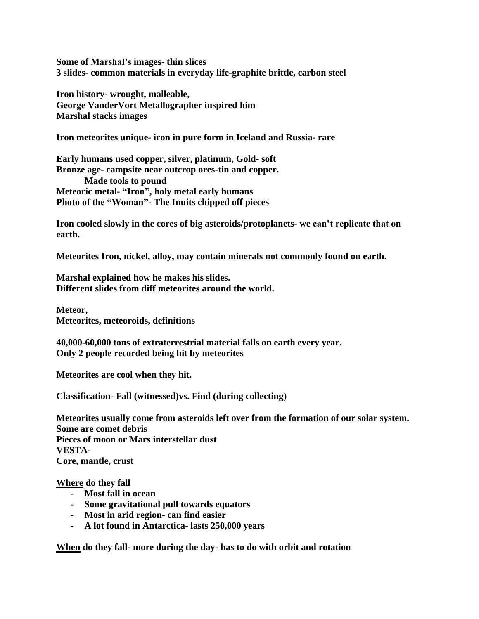**Some of Marshal's images- thin slices 3 slides- common materials in everyday life-graphite brittle, carbon steel**

**Iron history- wrought, malleable, George VanderVort Metallographer inspired him Marshal stacks images**

**Iron meteorites unique- iron in pure form in Iceland and Russia- rare**

**Early humans used copper, silver, platinum, Gold- soft Bronze age- campsite near outcrop ores-tin and copper. Made tools to pound Meteoric metal- "Iron", holy metal early humans Photo of the "Woman"- The Inuits chipped off pieces**

**Iron cooled slowly in the cores of big asteroids/protoplanets- we can't replicate that on earth.**

**Meteorites Iron, nickel, alloy, may contain minerals not commonly found on earth.**

**Marshal explained how he makes his slides. Different slides from diff meteorites around the world.**

**Meteor, Meteorites, meteoroids, definitions**

**40,000-60,000 tons of extraterrestrial material falls on earth every year. Only 2 people recorded being hit by meteorites**

**Meteorites are cool when they hit.** 

**Classification- Fall (witnessed)vs. Find (during collecting)**

**Meteorites usually come from asteroids left over from the formation of our solar system. Some are comet debris Pieces of moon or Mars interstellar dust VESTA-Core, mantle, crust**

**Where do they fall**

- **Most fall in ocean**
- **Some gravitational pull towards equators**
- **Most in arid region- can find easier**
- **A lot found in Antarctica- lasts 250,000 years**

**When do they fall- more during the day- has to do with orbit and rotation**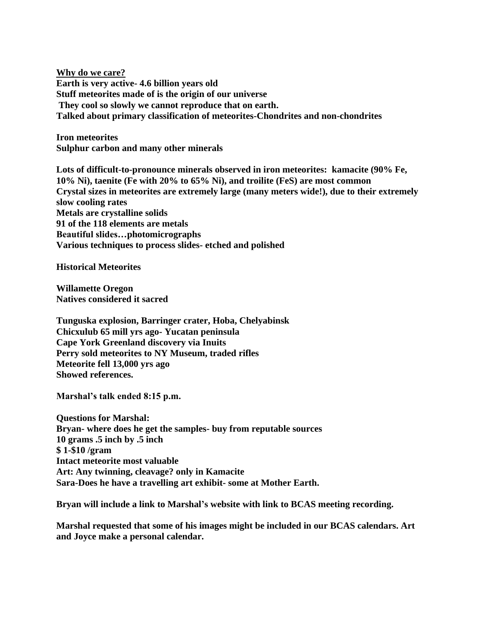**Why do we care? Earth is very active- 4.6 billion years old Stuff meteorites made of is the origin of our universe They cool so slowly we cannot reproduce that on earth. Talked about primary classification of meteorites-Chondrites and non-chondrites**

**Iron meteorites Sulphur carbon and many other minerals**

**Lots of difficult-to-pronounce minerals observed in iron meteorites: kamacite (90% Fe, 10% Ni), taenite (Fe with 20% to 65% Ni), and troilite (FeS) are most common Crystal sizes in meteorites are extremely large (many meters wide!), due to their extremely slow cooling rates Metals are crystalline solids 91 of the 118 elements are metals Beautiful slides…photomicrographs Various techniques to process slides- etched and polished**

**Historical Meteorites**

**Willamette Oregon Natives considered it sacred**

**Tunguska explosion, Barringer crater, Hoba, Chelyabinsk Chicxulub 65 mill yrs ago- Yucatan peninsula Cape York Greenland discovery via Inuits Perry sold meteorites to NY Museum, traded rifles Meteorite fell 13,000 yrs ago Showed references.** 

**Marshal's talk ended 8:15 p.m.**

**Questions for Marshal: Bryan- where does he get the samples- buy from reputable sources 10 grams .5 inch by .5 inch \$ 1-\$10 /gram Intact meteorite most valuable Art: Any twinning, cleavage? only in Kamacite Sara-Does he have a travelling art exhibit- some at Mother Earth.**

**Bryan will include a link to Marshal's website with link to BCAS meeting recording.**

**Marshal requested that some of his images might be included in our BCAS calendars. Art and Joyce make a personal calendar.**